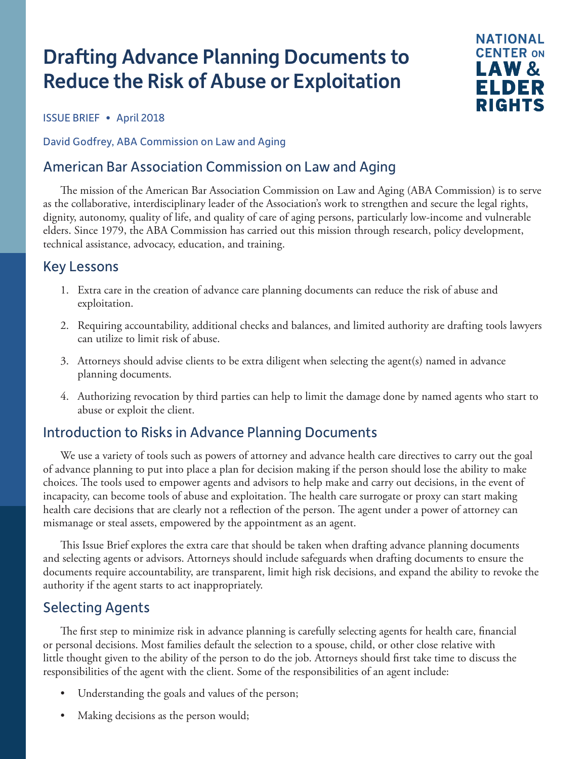# Drafting Advance Planning Documents to Reduce the Risk of Abuse or Exploitation



ISSUE BRIEF • April 2018

David Godfrey, ABA Commission on Law and Aging

# American Bar Association Commission on Law and Aging

The mission of the American Bar Association Commission on Law and Aging (ABA Commission) is to serve as the collaborative, interdisciplinary leader of the Association's work to strengthen and secure the legal rights, dignity, autonomy, quality of life, and quality of care of aging persons, particularly low-income and vulnerable elders. Since 1979, the ABA Commission has carried out this mission through research, policy development, technical assistance, advocacy, education, and training.

# Key Lessons

- 1. Extra care in the creation of advance care planning documents can reduce the risk of abuse and exploitation.
- 2. Requiring accountability, additional checks and balances, and limited authority are drafting tools lawyers can utilize to limit risk of abuse.
- 3. Attorneys should advise clients to be extra diligent when selecting the agent(s) named in advance planning documents.
- 4. Authorizing revocation by third parties can help to limit the damage done by named agents who start to abuse or exploit the client.

# Introduction to Risks in Advance Planning Documents

We use a variety of tools such as powers of attorney and advance health care directives to carry out the goal of advance planning to put into place a plan for decision making if the person should lose the ability to make choices. The tools used to empower agents and advisors to help make and carry out decisions, in the event of incapacity, can become tools of abuse and exploitation. The health care surrogate or proxy can start making health care decisions that are clearly not a reflection of the person. The agent under a power of attorney can mismanage or steal assets, empowered by the appointment as an agent.

This Issue Brief explores the extra care that should be taken when drafting advance planning documents and selecting agents or advisors. Attorneys should include safeguards when drafting documents to ensure the documents require accountability, are transparent, limit high risk decisions, and expand the ability to revoke the authority if the agent starts to act inappropriately.

# Selecting Agents

The first step to minimize risk in advance planning is carefully selecting agents for health care, financial or personal decisions. Most families default the selection to a spouse, child, or other close relative with little thought given to the ability of the person to do the job. Attorneys should first take time to discuss the responsibilities of the agent with the client. Some of the responsibilities of an agent include:

- Understanding the goals and values of the person;
- Making decisions as the person would;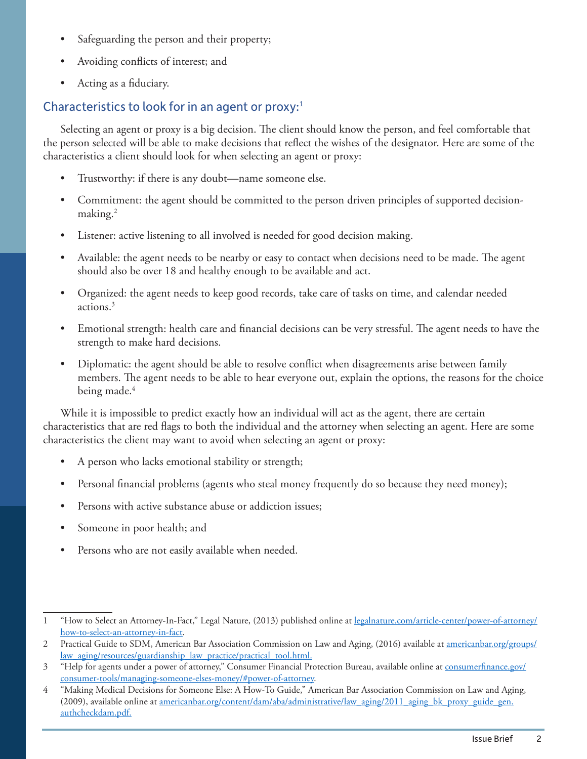- Safeguarding the person and their property;
- Avoiding conflicts of interest; and
- Acting as a fiduciary.

### Characteristics to look for in an agent or proxy: $1$

Selecting an agent or proxy is a big decision. The client should know the person, and feel comfortable that the person selected will be able to make decisions that reflect the wishes of the designator. Here are some of the characteristics a client should look for when selecting an agent or proxy:

- Trustworthy: if there is any doubt—name someone else.
- Commitment: the agent should be committed to the person driven principles of supported decisionmaking.<sup>2</sup>
- Listener: active listening to all involved is needed for good decision making.
- Available: the agent needs to be nearby or easy to contact when decisions need to be made. The agent should also be over 18 and healthy enough to be available and act.
- Organized: the agent needs to keep good records, take care of tasks on time, and calendar needed actions.3
- Emotional strength: health care and financial decisions can be very stressful. The agent needs to have the strength to make hard decisions.
- Diplomatic: the agent should be able to resolve conflict when disagreements arise between family members. The agent needs to be able to hear everyone out, explain the options, the reasons for the choice being made.<sup>4</sup>

While it is impossible to predict exactly how an individual will act as the agent, there are certain characteristics that are red flags to both the individual and the attorney when selecting an agent. Here are some characteristics the client may want to avoid when selecting an agent or proxy:

- A person who lacks emotional stability or strength;
- Personal financial problems (agents who steal money frequently do so because they need money);
- Persons with active substance abuse or addiction issues;
- Someone in poor health; and
- Persons who are not easily available when needed.

<sup>&</sup>lt;sup>1</sup> "How to Select an Attorney-In-Fact," Legal Nature, (2013) published online at [legalnature.com/article-center/power-of-attorney/](https://www.legalnature.com/article-center/power-of-attorney/how-to-select-an-attorney-in-fact) [how-to-select-an-attorney-in-fact](https://www.legalnature.com/article-center/power-of-attorney/how-to-select-an-attorney-in-fact).

<sup>2</sup> Practical Guide to SDM, American Bar Association Commission on Law and Aging, (2016) available at [americanbar.org/groups/](https://www.americanbar.org/groups/law_aging/resources/guardianship_law_practice/practical_tool.html) [law\\_aging/resources/guardianship\\_law\\_practice/practical\\_tool.html](https://www.americanbar.org/groups/law_aging/resources/guardianship_law_practice/practical_tool.html).

<sup>&</sup>lt;sup>3</sup> "Help for agents under a power of attorney," Consumer Financial Protection Bureau, available online at [consumerfinance.gov/](https://www.consumerfinance.gov/consumer-tools/managing-someone-elses-money/#power-of-attorney) [consumer-tools/managing-someone-elses-money/#power-of-attorney](https://www.consumerfinance.gov/consumer-tools/managing-someone-elses-money/#power-of-attorney).

<sup>4</sup> "Making Medical Decisions for Someone Else: A How-To Guide," American Bar Association Commission on Law and Aging, (2009), available online at <u>americanbar.org/content/dam/aba/administrative/law\_aging/2011\_aging\_bk\_proxy\_guide\_gen.</u> [authcheckdam.pdf.](https://www.americanbar.org/content/dam/aba/administrative/law_aging/2011_aging_bk_proxy_guide_gen.authcheckdam.pdf)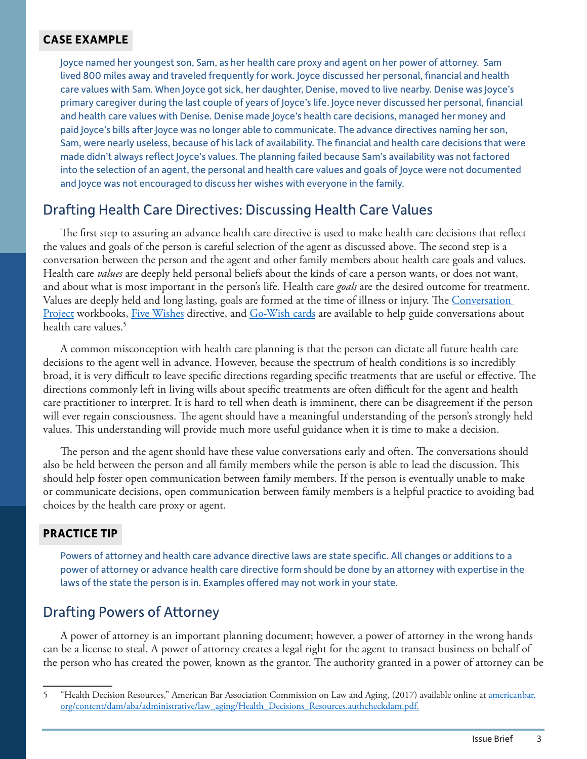#### **CASE EXAMPLE**

Joyce named her youngest son, Sam, as her health care proxy and agent on her power of attorney. Sam lived 800 miles away and traveled frequently for work. Joyce discussed her personal, financial and health care values with Sam. When Joyce got sick, her daughter, Denise, moved to live nearby. Denise was Joyce's primary caregiver during the last couple of years of Joyce's life. Joyce never discussed her personal, financial and health care values with Denise. Denise made Joyce's health care decisions, managed her money and paid Joyce's bills after Joyce was no longer able to communicate. The advance directives naming her son, Sam, were nearly useless, because of his lack of availability. The financial and health care decisions that were made didn't always reflect Joyce's values. The planning failed because Sam's availability was not factored into the selection of an agent, the personal and health care values and goals of Joyce were not documented and Joyce was not encouraged to discuss her wishes with everyone in the family.

# Drafting Health Care Directives: Discussing Health Care Values

The first step to assuring an advance health care directive is used to make health care decisions that reflect the values and goals of the person is careful selection of the agent as discussed above. The second step is a conversation between the person and the agent and other family members about health care goals and values. Health care *values* are deeply held personal beliefs about the kinds of care a person wants, or does not want, and about what is most important in the person's life. Health care *goals* are the desired outcome for treatment. Values are deeply held and long lasting, goals are formed at the time of illness or injury. The Conversation [Project](https://theconversationproject.org/) workbooks, [Five Wishes](https://www.agingwithdignity.org/) directive, and [Go-Wish cards](http://codaalliance.org/) are available to help guide conversations about health care values.5

A common misconception with health care planning is that the person can dictate all future health care decisions to the agent well in advance. However, because the spectrum of health conditions is so incredibly broad, it is very difficult to leave specific directions regarding specific treatments that are useful or effective. The directions commonly left in living wills about specific treatments are often difficult for the agent and health care practitioner to interpret. It is hard to tell when death is imminent, there can be disagreement if the person will ever regain consciousness. The agent should have a meaningful understanding of the person's strongly held values. This understanding will provide much more useful guidance when it is time to make a decision.

The person and the agent should have these value conversations early and often. The conversations should also be held between the person and all family members while the person is able to lead the discussion. This should help foster open communication between family members. If the person is eventually unable to make or communicate decisions, open communication between family members is a helpful practice to avoiding bad choices by the health care proxy or agent.

#### **PRACTICE TIP**

[Powers of attorney](https://www.americanbar.org/content/dam/aba/administrative/law_aging/power_of_attorney_laws_citations_by_state.authcheckdam.pdf) and [health care advance directive laws](https://www.americanbar.org/content/dam/aba/administrative/law_aging/state-health-care-power-of-attorney-statutes.authcheckdam.pdf) are state specific. All changes or additions to a power of attorney or advance health care directive form should be done by an attorney with expertise in the laws of the state the person is in. Examples offered may not work in your state.

# Drafting Powers of Attorney

A power of attorney is an important planning document; however, a power of attorney in the wrong hands can be a license to steal. A power of attorney creates a legal right for the agent to transact business on behalf of the person who has created the power, known as the grantor. The authority granted in a power of attorney can be

<sup>5 &</sup>quot;Health Decision Resources," American Bar Association Commission on Law and Aging, (2017) available online at [americanbar.](https://www.americanbar.org/content/dam/aba/administrative/law_aging/Health_Decisions_Resources.authcheckdam.pdf) [org/content/dam/aba/administrative/law\\_aging/Health\\_Decisions\\_Resources.authcheckdam.pdf.](https://www.americanbar.org/content/dam/aba/administrative/law_aging/Health_Decisions_Resources.authcheckdam.pdf)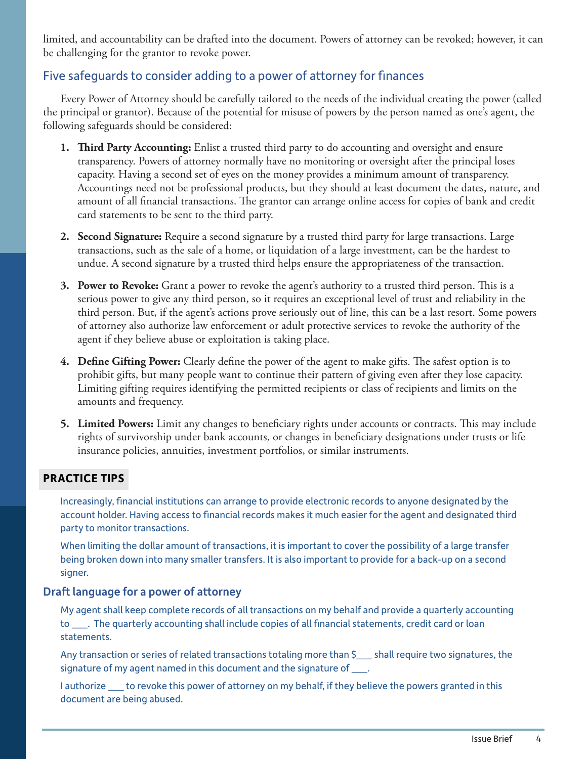limited, and accountability can be drafted into the document. Powers of attorney can be revoked; however, it can be challenging for the grantor to revoke power.

# Five safeguards to consider adding to a power of attorney for finances

Every Power of Attorney should be carefully tailored to the needs of the individual creating the power (called the principal or grantor). Because of the potential for misuse of powers by the person named as one's agent, the following safeguards should be considered:

- **1. Third Party Accounting:** Enlist a trusted third party to do accounting and oversight and ensure transparency. Powers of attorney normally have no monitoring or oversight after the principal loses capacity. Having a second set of eyes on the money provides a minimum amount of transparency. Accountings need not be professional products, but they should at least document the dates, nature, and amount of all financial transactions. The grantor can arrange online access for copies of bank and credit card statements to be sent to the third party.
- **2. Second Signature:** Require a second signature by a trusted third party for large transactions. Large transactions, such as the sale of a home, or liquidation of a large investment, can be the hardest to undue. A second signature by a trusted third helps ensure the appropriateness of the transaction.
- **3. Power to Revoke:** Grant a power to revoke the agent's authority to a trusted third person. This is a serious power to give any third person, so it requires an exceptional level of trust and reliability in the third person. But, if the agent's actions prove seriously out of line, this can be a last resort. Some powers of attorney also authorize law enforcement or adult protective services to revoke the authority of the agent if they believe abuse or exploitation is taking place.
- **4. Define Gifting Power:** Clearly define the power of the agent to make gifts. The safest option is to prohibit gifts, but many people want to continue their pattern of giving even after they lose capacity. Limiting gifting requires identifying the permitted recipients or class of recipients and limits on the amounts and frequency.
- **5. Limited Powers:** Limit any changes to beneficiary rights under accounts or contracts. This may include rights of survivorship under bank accounts, or changes in beneficiary designations under trusts or life insurance policies, annuities, investment portfolios, or similar instruments.

### **PRACTICE TIPS**

Increasingly, financial institutions can arrange to provide electronic records to anyone designated by the account holder. Having access to financial records makes it much easier for the agent and designated third party to monitor transactions.

When limiting the dollar amount of transactions, it is important to cover the possibility of a large transfer being broken down into many smaller transfers. It is also important to provide for a back-up on a second signer.

### Draft language for a power of attorney

My agent shall keep complete records of all transactions on my behalf and provide a quarterly accounting to \_\_\_. The quarterly accounting shall include copies of all financial statements, credit card or loan statements.

Any transaction or series of related transactions totaling more than \$\_\_\_ shall require two signatures, the signature of my agent named in this document and the signature of \_\_\_\_.

I authorize to revoke this power of attorney on my behalf, if they believe the powers granted in this document are being abused.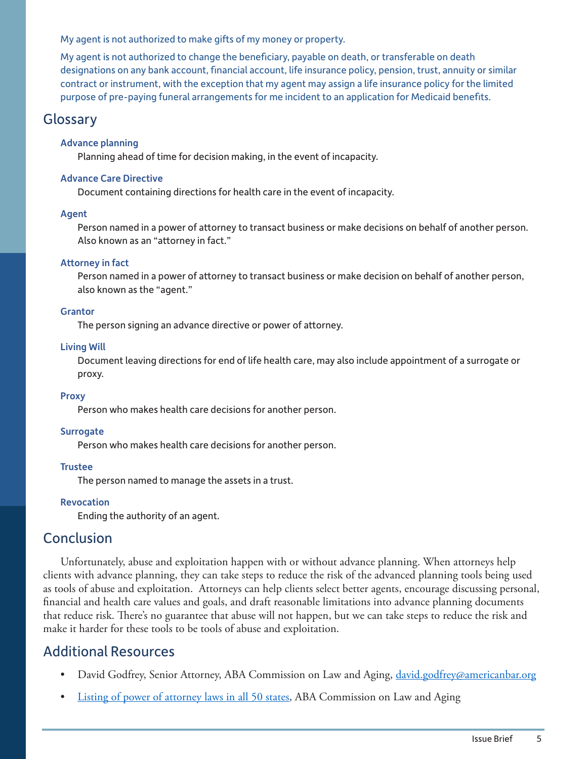My agent is not authorized to make gifts of my money or property.

My agent is not authorized to change the beneficiary, payable on death, or transferable on death designations on any bank account, financial account, life insurance policy, pension, trust, annuity or similar contract or instrument, with the exception that my agent may assign a life insurance policy for the limited purpose of pre-paying funeral arrangements for me incident to an application for Medicaid benefits.

# Glossary

#### Advance planning

Planning ahead of time for decision making, in the event of incapacity.

#### Advance Care Directive

Document containing directions for health care in the event of incapacity.

#### Agent

Person named in a power of attorney to transact business or make decisions on behalf of another person. Also known as an "attorney in fact."

#### Attorney in fact

Person named in a power of attorney to transact business or make decision on behalf of another person, also known as the "agent."

#### **Grantor**

The person signing an advance directive or power of attorney.

#### Living Will

Document leaving directions for end of life health care, may also include appointment of a surrogate or proxy.

#### Proxy

Person who makes health care decisions for another person.

#### **Surrogate**

Person who makes health care decisions for another person.

#### Trustee

The person named to manage the assets in a trust.

#### Revocation

Ending the authority of an agent.

# Conclusion

Unfortunately, abuse and exploitation happen with or without advance planning. When attorneys help clients with advance planning, they can take steps to reduce the risk of the advanced planning tools being used as tools of abuse and exploitation. Attorneys can help clients select better agents, encourage discussing personal, financial and health care values and goals, and draft reasonable limitations into advance planning documents that reduce risk. There's no guarantee that abuse will not happen, but we can take steps to reduce the risk and make it harder for these tools to be tools of abuse and exploitation.

# Additional Resources

- David Godfrey, Senior Attorney, ABA Commission on Law and Aging, [david.godfrey@americanbar.org](mailto:David.Godfrey@Americanbar.org)
- [Listing of power of attorney laws in all 50 states,](https://www.americanbar.org/content/dam/aba/administrative/law_aging/power_of_attorney_laws_citations_by_state.authcheckdam.pdf) ABA Commission on Law and Aging